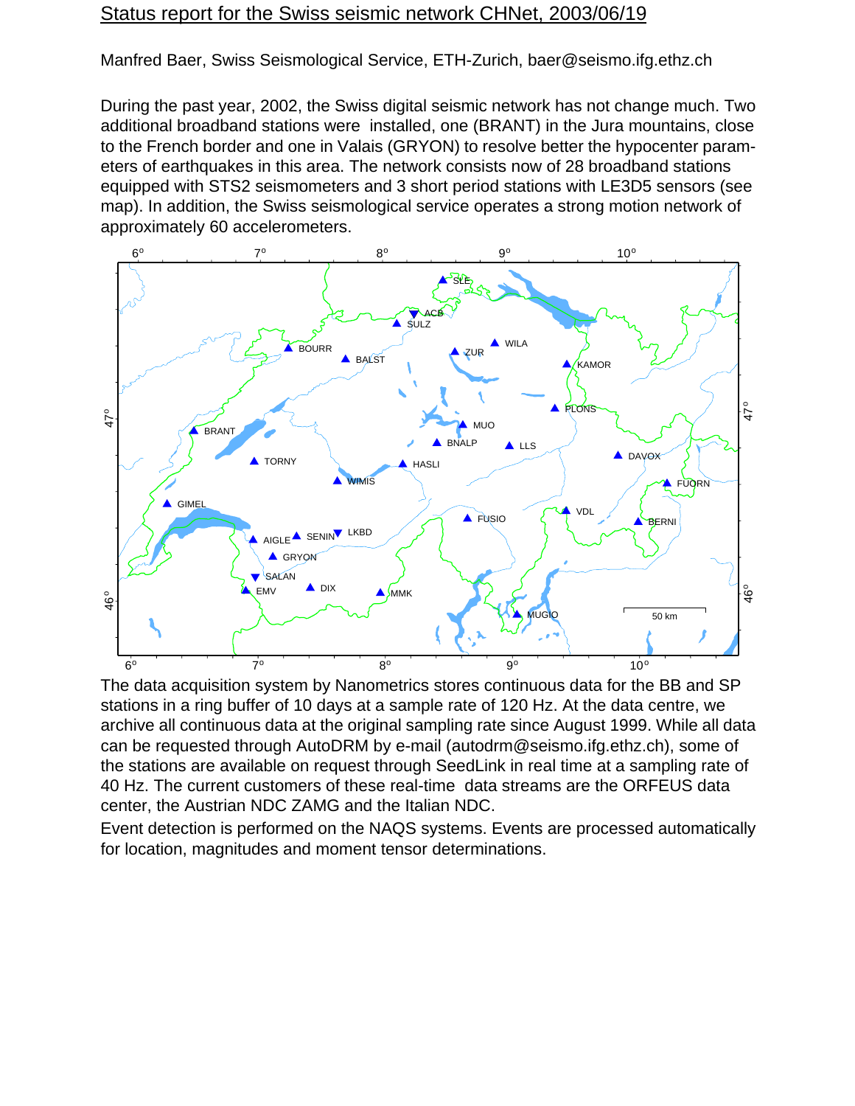## Status report for the Swiss seismic network CHNet, 2003/06/19

Manfred Baer, Swiss Seismological Service, ETH-Zurich, baer@seismo.ifg.ethz.ch

During the past year, 2002, the Swiss digital seismic network has not change much. Two additional broadband stations were installed, one (BRANT) in the Jura mountains, close to the French border and one in Valais (GRYON) to resolve better the hypocenter parameters of earthquakes in this area. The network consists now of 28 broadband stations equipped with STS2 seismometers and 3 short period stations with LE3D5 sensors (see map). In addition, the Swiss seismological service operates a strong motion network of approximately 60 accelerometers.



The data acquisition system by Nanometrics stores continuous data for the BB and SP stations in a ring buffer of 10 days at a sample rate of 120 Hz. At the data centre, we archive all continuous data at the original sampling rate since August 1999. While all data can be requested through AutoDRM by e-mail (autodrm@seismo.ifg.ethz.ch), some of the stations are available on request through SeedLink in real time at a sampling rate of 40 Hz. The current customers of these real-time data streams are the ORFEUS data center, the Austrian NDC ZAMG and the Italian NDC.

Event detection is performed on the NAQS systems. Events are processed automatically for location, magnitudes and moment tensor determinations.